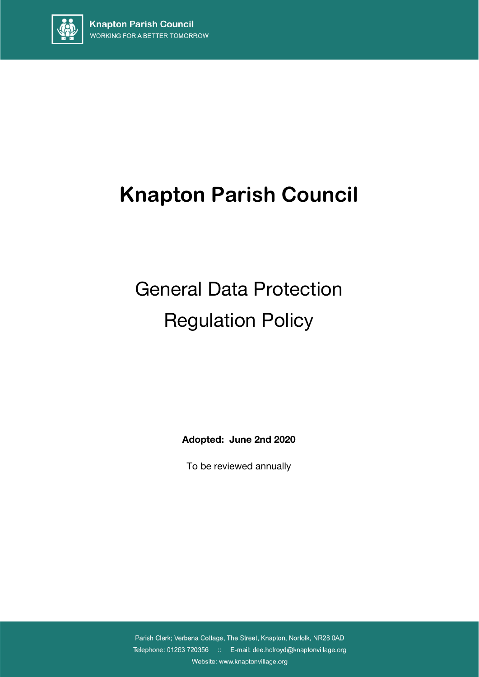

## **Knapton Parish Council**

# General Data Protection Regulation Policy

**Adopted: June 2nd 2020**

To be reviewed annually

Parish Clerk; Verbena Cottage, The Street, Knapton, Norfolk, NR28 0AD Telephone: 01263 720356 :: E-mail: dee.holroyd@knaptonvillage.org Website: www.knaptonvillage.org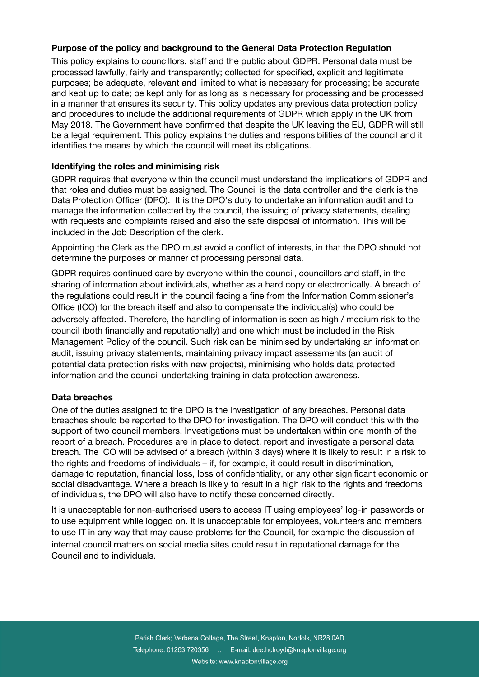#### **Purpose of the policy and background to the General Data Protection Regulation**

This policy explains to councillors, staff and the public about GDPR. Personal data must be processed lawfully, fairly and transparently; collected for specified, explicit and legitimate purposes; be adequate, relevant and limited to what is necessary for processing; be accurate and kept up to date; be kept only for as long as is necessary for processing and be processed in a manner that ensures its security. This policy updates any previous data protection policy and procedures to include the additional requirements of GDPR which apply in the UK from May 2018. The Government have confirmed that despite the UK leaving the EU, GDPR will still be a legal requirement. This policy explains the duties and responsibilities of the council and it identifies the means by which the council will meet its obligations.

#### **Identifying the roles and minimising risk**

GDPR requires that everyone within the council must understand the implications of GDPR and that roles and duties must be assigned. The Council is the data controller and the clerk is the Data Protection Officer (DPO). It is the DPO's duty to undertake an information audit and to manage the information collected by the council, the issuing of privacy statements, dealing with requests and complaints raised and also the safe disposal of information. This will be included in the Job Description of the clerk.

Appointing the Clerk as the DPO must avoid a conflict of interests, in that the DPO should not determine the purposes or manner of processing personal data.

GDPR requires continued care by everyone within the council, councillors and staff, in the sharing of information about individuals, whether as a hard copy or electronically. A breach of the regulations could result in the council facing a fine from the Information Commissioner's Office (ICO) for the breach itself and also to compensate the individual(s) who could be adversely affected. Therefore, the handling of information is seen as high / medium risk to the council (both financially and reputationally) and one which must be included in the Risk Management Policy of the council. Such risk can be minimised by undertaking an information audit, issuing privacy statements, maintaining privacy impact assessments (an audit of potential data protection risks with new projects), minimising who holds data protected information and the council undertaking training in data protection awareness.

#### **Data breaches**

One of the duties assigned to the DPO is the investigation of any breaches. Personal data breaches should be reported to the DPO for investigation. The DPO will conduct this with the support of two council members. Investigations must be undertaken within one month of the report of a breach. Procedures are in place to detect, report and investigate a personal data breach. The ICO will be advised of a breach (within 3 days) where it is likely to result in a risk to the rights and freedoms of individuals – if, for example, it could result in discrimination, damage to reputation, financial loss, loss of confidentiality, or any other significant economic or social disadvantage. Where a breach is likely to result in a high risk to the rights and freedoms of individuals, the DPO will also have to notify those concerned directly.

It is unacceptable for non-authorised users to access IT using employees' log-in passwords or to use equipment while logged on. It is unacceptable for employees, volunteers and members to use IT in any way that may cause problems for the Council, for example the discussion of internal council matters on social media sites could result in reputational damage for the Council and to individuals.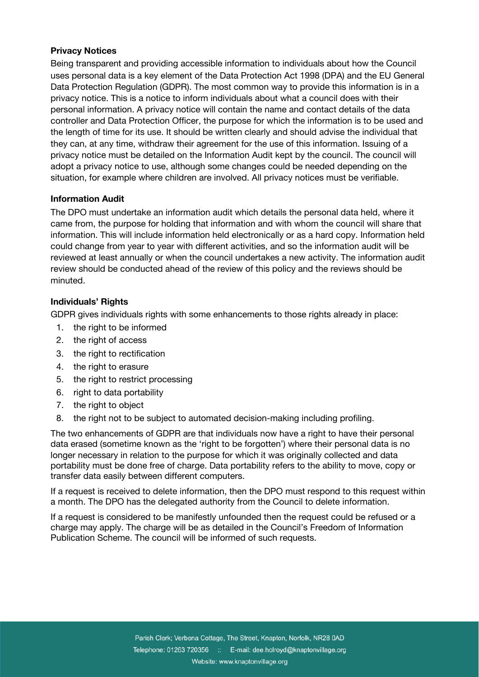#### **Privacy Notices**

Being transparent and providing accessible information to individuals about how the Council uses personal data is a key element of the Data Protection Act 1998 (DPA) and the EU General Data Protection Regulation (GDPR). The most common way to provide this information is in a privacy notice. This is a notice to inform individuals about what a council does with their personal information. A privacy notice will contain the name and contact details of the data controller and Data Protection Officer, the purpose for which the information is to be used and the length of time for its use. It should be written clearly and should advise the individual that they can, at any time, withdraw their agreement for the use of this information. Issuing of a privacy notice must be detailed on the Information Audit kept by the council. The council will adopt a privacy notice to use, although some changes could be needed depending on the situation, for example where children are involved. All privacy notices must be verifiable.

#### **Information Audit**

The DPO must undertake an information audit which details the personal data held, where it came from, the purpose for holding that information and with whom the council will share that information. This will include information held electronically or as a hard copy. Information held could change from year to year with different activities, and so the information audit will be reviewed at least annually or when the council undertakes a new activity. The information audit review should be conducted ahead of the review of this policy and the reviews should be minuted.

#### **Individuals' Rights**

GDPR gives individuals rights with some enhancements to those rights already in place:

- 1. the right to be informed
- 2. the right of access
- 3. the right to rectification
- 4. the right to erasure
- 5. the right to restrict processing
- 6. right to data portability
- 7. the right to object
- 8. the right not to be subject to automated decision-making including profiling.

The two enhancements of GDPR are that individuals now have a right to have their personal data erased (sometime known as the 'right to be forgotten') where their personal data is no longer necessary in relation to the purpose for which it was originally collected and data portability must be done free of charge. Data portability refers to the ability to move, copy or transfer data easily between different computers.

If a request is received to delete information, then the DPO must respond to this request within a month. The DPO has the delegated authority from the Council to delete information.

If a request is considered to be manifestly unfounded then the request could be refused or a charge may apply. The charge will be as detailed in the Council's Freedom of Information Publication Scheme. The council will be informed of such requests.